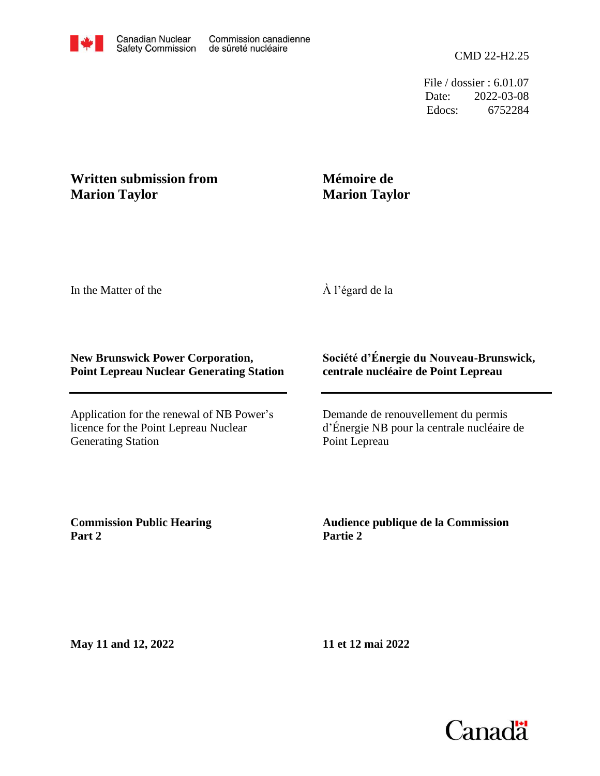File / dossier : 6.01.07 Date: 2022-03-08 Edocs: 6752284

## **Written submission from Marion Taylor**

## **Mémoire de Marion Taylor**

In the Matter of the

À l'égard de la

## **New Brunswick Power Corporation, Point Lepreau Nuclear Generating Station**

Application for the renewal of NB Power's licence for the Point Lepreau Nuclear Generating Station

## **Société d'Énergie du Nouveau-Brunswick, centrale nucléaire de Point Lepreau**

Demande de renouvellement du permis d'Énergie NB pour la centrale nucléaire de Point Lepreau

**Commission Public Hearing Part 2**

**Audience publique de la Commission Partie 2**

**May 11 and 12, 2022**

**11 et 12 mai 2022**